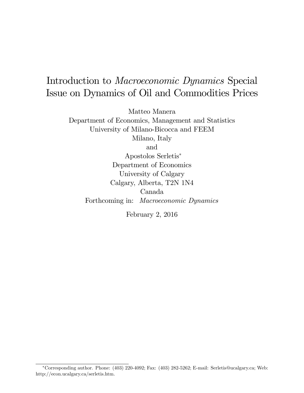# Introduction to Macroeconomic Dynamics Special Issue on Dynamics of Oil and Commodities Prices

Matteo Manera

Department of Economics, Management and Statistics University of Milano-Bicocca and FEEM Milano, Italy and Apostolos Serletis Department of Economics University of Calgary Calgary, Alberta, T2N 1N4 Canada Forthcoming in: Macroeconomic Dynamics

February 2, 2016

Corresponding author. Phone: (403) 220-4092; Fax: (403) 282-5262; E-mail: Serletis@ucalgary.ca; Web: http://econ.ucalgary.ca/serletis.htm.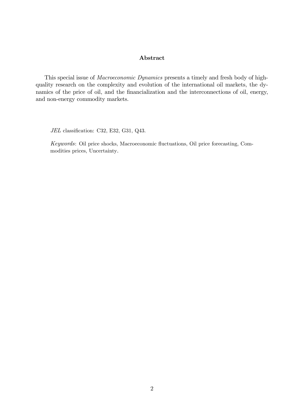### Abstract

This special issue of Macroeconomic Dynamics presents a timely and fresh body of highquality research on the complexity and evolution of the international oil markets, the dynamics of the price of oil, and the financialization and the interconnections of oil, energy, and non-energy commodity markets.

 $JEL$  classification: C32, E32, G31, Q43.

Keywords: Oil price shocks, Macroeconomic fluctuations, Oil price forecasting, Commodities prices, Uncertainty.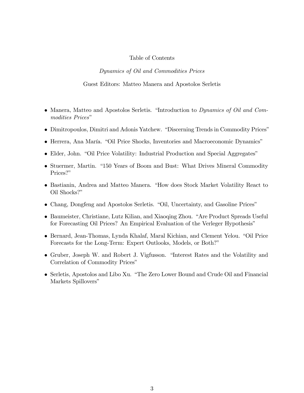#### Table of Contents

#### Dynamics of Oil and Commodities Prices

Guest Editors: Matteo Manera and Apostolos Serletis

- Manera, Matteo and Apostolos Serletis. "Introduction to Dynamics of Oil and Commodities Prices"
- Dimitropoulos, Dimitri and Adonis Yatchew. "Discerning Trends in Commodity Prices"
- Herrera, Ana María. "Oil Price Shocks, Inventories and Macroeconomic Dynamics"
- Elder, John. "Oil Price Volatility: Industrial Production and Special Aggregates"
- Stuermer, Martin. "150 Years of Boom and Bust: What Drives Mineral Commodity Prices?"
- Bastianin, Andrea and Matteo Manera. "How does Stock Market Volatility React to Oil Shocks?"
- Chang, Dongfeng and Apostolos Serletis. "Oil, Uncertainty, and Gasoline Prices"
- Baumeister, Christiane, Lutz Kilian, and Xiaoqing Zhou. "Are Product Spreads Useful for Forecasting Oil Prices? An Empirical Evaluation of the Verleger Hypothesis"
- Bernard, Jean-Thomas, Lynda Khalaf, Maral Kichian, and Clement Yelou. "Oil Price Forecasts for the Long-Term: Expert Outlooks, Models, or Both?"
- Gruber, Joseph W. and Robert J. Vigfusson. "Interest Rates and the Volatility and Correlation of Commodity Pricesî
- Serletis, Apostolos and Libo Xu. "The Zero Lower Bound and Crude Oil and Financial Markets Spillovers"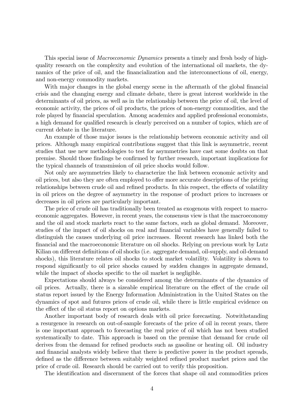This special issue of *Macroeconomic Dynamics* presents a timely and fresh body of highquality research on the complexity and evolution of the international oil markets, the dynamics of the price of oil, and the financialization and the interconnections of oil, energy, and non-energy commodity markets.

With major changes in the global energy scene in the aftermath of the global financial crisis and the changing energy and climate debate, there is great interest worldwide in the determinants of oil prices, as well as in the relationship between the price of oil, the level of economic activity, the prices of oil products, the prices of non-energy commodities, and the role played by financial speculation. Among academics and applied professional economists, a high demand for qualified research is clearly perceived on a number of topics, which are of current debate in the literature.

An example of those major issues is the relationship between economic activity and oil prices. Although many empirical contributions suggest that this link is asymmetric, recent studies that use new methodologies to test for asymmetries have cast some doubts on that premise. Should those Öndings be conÖrmed by further research, important implications for the typical channels of transmission of oil price shocks would follow.

Not only are asymmetries likely to characterize the link between economic activity and oil prices, but also they are often employed to offer more accurate descriptions of the pricing relationships between crude oil and refined products. In this respect, the effects of volatility in oil prices on the degree of asymmetry in the response of product prices to increases or decreases in oil prices are particularly important.

The price of crude oil has traditionally been treated as exogenous with respect to macroeconomic aggregates. However, in recent years, the consensus view is that the macroeconomy and the oil and stock markets react to the same factors, such as global demand. Moreover, studies of the impact of oil shocks on real and financial variables have generally failed to distinguish the causes underlying oil price increases. Recent research has linked both the Önancial and the macroeconomic literature on oil shocks. Relying on previous work by Lutz Kilian on different definitions of oil shocks (i.e. aggregate demand, oil-supply, and oil-demand shocks), this literature relates oil shocks to stock market volatility. Volatility is shown to respond significantly to oil price shocks caused by sudden changes in aggregate demand, while the impact of shocks specific to the oil market is negligible.

Expectations should always be considered among the determinants of the dynamics of oil prices. Actually, there is a sizeable empirical literature on the effect of the crude oil status report issued by the Energy Information Administration in the United States on the dynamics of spot and futures prices of crude oil, while there is little empirical evidence on the effect of the oil status report on options markets.

Another important body of research deals with oil price forecasting. Notwithstanding a resurgence in research on out-of-sample forecasts of the price of oil in recent years, there is one important approach to forecasting the real price of oil which has not been studied systematically to date. This approach is based on the premise that demand for crude oil derives from the demand for refined products such as gasoline or heating oil. Oil industry and financial analysts widely believe that there is predictive power in the product spreads, defined as the difference between suitably weighted refined product market prices and the price of crude oil. Research should be carried out to verify this proposition.

The identification and discernment of the forces that shape oil and commodities prices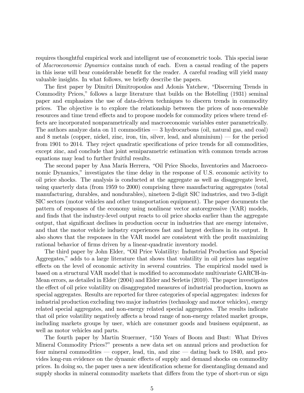requires thoughtful empirical work and intelligent use of econometric tools. This special issue of Macroeconomic Dynamics contains much of each. Even a casual reading of the papers in this issue will bear considerable benefit for the reader. A careful reading will yield many valuable insights. In what follows, we briefly describe the papers.

The first paper by Dimitri Dimitropoulos and Adonis Yatchew, "Discerning Trends in Commodity Prices," follows a large literature that builds on the Hotelling (1931) seminal paper and emphasizes the use of data-driven techniques to discern trends in commodity prices. The objective is to explore the relationship between the prices of non-renewable resources and time trend effects and to propose models for commodity prices where trend effects are incorporated nonparametrically and macroeconomic variables enter parametrically. The authors analyze data on 11 commodities  $-3$  hydrocarbons (oil, natural gas, and coal) and 8 metals (copper, nickel, zinc, iron, tin, silver, lead, and aluminium)  $-$  for the period from 1901 to 2014. They reject quadratic specifications of price trends for all commodities, except zinc, and conclude that joint semiparametric estimation with common trends across equations may lead to further fruitful results.

The second paper by Ana María Herrera, "Oil Price Shocks, Inventories and Macroeconomic Dynamics," investigates the time delay in the response of U.S. economic activity to oil price shocks. The analysis is conducted at the aggregate as well as disaggregate level, using quarterly data (from 1959 to 2000) comprising three manufacturing aggregates (total manufacturing, durables, and nondurables), nineteen 2-digit SIC industries, and two 3-digit SIC sectors (motor vehicles and other transportation equipment). The paper documents the pattern of responses of the economy using nonlinear vector autoregressive (VAR) models, and finds that the industry-level output reacts to oil price shocks earlier than the aggregate output, that significant declines in production occur in industries that are energy intensive, and that the motor vehicle industry experiences fast and largest declines in its output. It also shows that the responses in the VAR model are consistent with the profit maximizing rational behavior of firms driven by a linear-quadratic inventory model.

The third paper by John Elder, "Oil Price Volatility: Industrial Production and Special Aggregates," adds to a large literature that shows that volatility in oil prices has negative effects on the level of economic activity in several countries. The empirical model used is based on a structural VAR model that is modified to accommodate multivariate GARCH-in-Mean errors, as detailed in Elder (2004) and Elder and Serletis (2010). The paper investigates the effect of oil price volatility on disaggregated measures of industrial production, known as special aggregates. Results are reported for three categories of special aggregates: indexes for industrial production excluding two major industries (technology and motor vehicles), energy related special aggregates, and non-energy related special aggregates. The results indicate that oil price volatility negatively affects a broad range of non-energy related market groups, including markets groups by user, which are consumer goods and business equipment, as well as motor vehicles and parts.

The fourth paper by Martin Stuermer, "150 Years of Boom and Bust: What Drives Mineral Commodity Prices?î presents a new data set on annual prices and production for four mineral commodities  $\sim$  copper, lead, tin, and zinc  $\sim$  dating back to 1840, and provides long-run evidence on the dynamic effects of supply and demand shocks on commodity prices. In doing so, the paper uses a new identification scheme for disentangling demand and supply shocks in mineral commodity markets that differs from the type of short-run or sign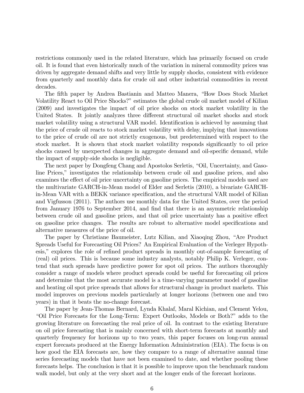restrictions commonly used in the related literature, which has primarily focused on crude oil. It is found that even historically much of the variation in mineral commodity prices was driven by aggregate demand shifts and very little by supply shocks, consistent with evidence from quarterly and monthly data for crude oil and other industrial commodities in recent decades.

The fifth paper by Andrea Bastianin and Matteo Manera, "How Does Stock Market Volatility React to Oil Price Shocks?" estimates the global crude oil market model of Kilian (2009) and investigates the impact of oil price shocks on stock market volatility in the United States. It jointly analyzes three different structural oil market shocks and stock market volatility using a structural VAR model. Identification is achieved by assuming that the price of crude oil reacts to stock market volatility with delay, implying that innovations to the price of crude oil are not strictly exogenous, but predetermined with respect to the stock market. It is shown that stock market volatility responds significantly to oil price shocks caused by unexpected changes in aggregate demand and oil-specific demand, while the impact of supply-side shocks is negligible.

The next paper by Dongfeng Chang and Apostolos Serletis, "Oil, Uncertainty, and Gasoline Prices," investigates the relationship between crude oil and gasoline prices, and also examines the effect of oil price uncertainty on gasoline prices. The empirical models used are the multivariate GARCH-in-Mean model of Elder and Serletis (2010), a bivariate GARCHin-Mean VAR with a BEKK variance specification, and the structural VAR model of Kilian and Vigfusson (2011). The authors use monthly data for the United States, over the period from January 1976 to September 2014, and find that there is an asymmetric relationship between crude oil and gasoline prices, and that oil price uncertainty has a positive effect on gasoline price changes. The results are robust to alternative model specifications and alternative measures of the price of oil.

The paper by Christiane Baumeister, Lutz Kilian, and Xiaoqing Zhou, "Are Product Spreads Useful for Forecasting Oil Prices? An Empirical Evaluation of the Verleger Hypothesis," explores the role of refined product spreads in monthly out-of-sample forecasting of (real) oil prices. This is because some industry analysts, notably Philip K. Verleger, contend that such spreads have predictive power for spot oil prices. The authors thoroughly consider a range of models where product spreads could be useful for forecasting oil prices and determine that the most accurate model is a time-varying parameter model of gasoline and heating oil spot price spreads that allows for structural change in product markets. This model improves on previous models particularly at longer horizons (between one and two years) in that it beats the no-change forecast.

The paper by Jean-Thomas Bernard, Lynda Khalaf, Maral Kichian, and Clement Yelou, "Oil Price Forecasts for the Long-Term: Expert Outlooks, Models or Both?" adds to the growing literature on forecasting the real price of oil. In contrast to the existing literature on oil price forecasting that is mainly concerned with short-term forecasts at monthly and quarterly frequency for horizons up to two years, this paper focuses on long-run annual expert forecasts produced at the Energy Information Administration (EIA). The focus is on how good the EIA forecasts are, how they compare to a range of alternative annual time series forecasting models that have not been examined to date, and whether pooling these forecasts helps. The conclusion is that it is possible to improve upon the benchmark random walk model, but only at the very short and at the longer ends of the forecast horizons.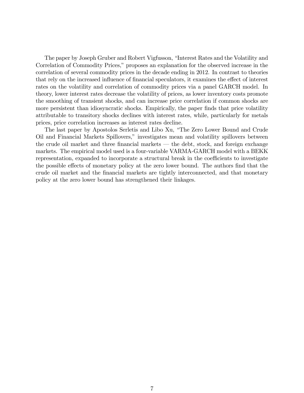The paper by Joseph Gruber and Robert Vigfusson, "Interest Rates and the Volatility and Correlation of Commodity Prices," proposes an explanation for the observed increase in the correlation of several commodity prices in the decade ending in 2012. In contrast to theories that rely on the increased influence of financial speculators, it examines the effect of interest rates on the volatility and correlation of commodity prices via a panel GARCH model. In theory, lower interest rates decrease the volatility of prices, as lower inventory costs promote the smoothing of transient shocks, and can increase price correlation if common shocks are more persistent than idiosyncratic shocks. Empirically, the paper finds that price volatility attributable to transitory shocks declines with interest rates, while, particularly for metals prices, price correlation increases as interest rates decline.

The last paper by Apostolos Serletis and Libo Xu, "The Zero Lower Bound and Crude Oil and Financial Markets Spillovers,î investigates mean and volatility spillovers between the crude oil market and three financial markets  $-$  the debt, stock, and foreign exchange markets. The empirical model used is a four-variable VARMA-GARCH model with a BEKK representation, expanded to incorporate a structural break in the coefficients to investigate the possible effects of monetary policy at the zero lower bound. The authors find that the crude oil market and the Önancial markets are tightly interconnected, and that monetary policy at the zero lower bound has strengthened their linkages.